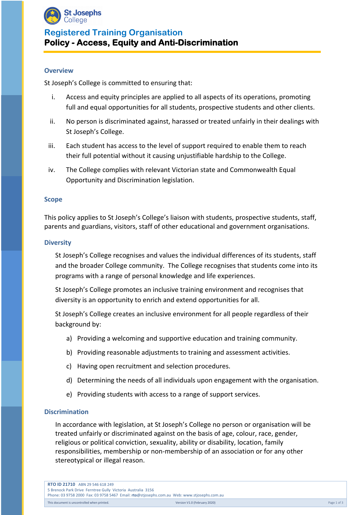

# **Registered Training Organisation Policy - Access, Equity and Anti-Discrimination**

### **Overview**

St Joseph's College is committed to ensuring that:

- i. Access and equity principles are applied to all aspects of its operations, promoting full and equal opportunities for all students, prospective students and other clients.
- ii. No person is discriminated against, harassed or treated unfairly in their dealings with St Joseph's College.
- iii. Each student has access to the level of support required to enable them to reach their full potential without it causing unjustifiable hardship to the College.
- iv. The College complies with relevant Victorian state and Commonwealth Equal Opportunity and Discrimination legislation.

#### **Scope**

This policy applies to St Joseph's College's liaison with students, prospective students, staff, parents and guardians, visitors, staff of other educational and government organisations.

#### **Diversity**

St Joseph's College recognises and values the individual differences of its students, staff and the broader College community. The College recognises that students come into its programs with a range of personal knowledge and life experiences.

St Joseph's College promotes an inclusive training environment and recognises that diversity is an opportunity to enrich and extend opportunities for all.

St Joseph's College creates an inclusive environment for all people regardless of their background by:

- a) Providing a welcoming and supportive education and training community.
- b) Providing reasonable adjustments to training and assessment activities.
- c) Having open recruitment and selection procedures.
- d) Determining the needs of all individuals upon engagement with the organisation.
- e) Providing students with access to a range of support services.

#### **Discrimination**

In accordance with legislation, at St Joseph's College no person or organisation will be treated unfairly or discriminated against on the basis of age, colour, race, gender, religious or political conviction, sexuality, ability or disability, location, family responsibilities, membership or non-membership of an association or for any other stereotypical or illegal reason.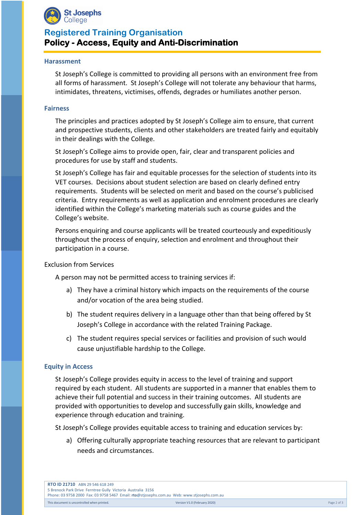

## **Registered Training Organisation Policy - Access, Equity and Anti-Discrimination**

#### **Harassment**

St Joseph's College is committed to providing all persons with an environment free from all forms of harassment. St Joseph's College will not tolerate any behaviour that harms, intimidates, threatens, victimises, offends, degrades or humiliates another person.

#### **Fairness**

The principles and practices adopted by St Joseph's College aim to ensure, that current and prospective students, clients and other stakeholders are treated fairly and equitably in their dealings with the College.

St Joseph's College aims to provide open, fair, clear and transparent policies and procedures for use by staff and students.

St Joseph's College has fair and equitable processes for the selection of students into its VET courses. Decisions about student selection are based on clearly defined entry requirements. Students will be selected on merit and based on the course's publicised criteria. Entry requirements as well as application and enrolment procedures are clearly identified within the College's marketing materials such as course guides and the College's website.

Persons enquiring and course applicants will be treated courteously and expeditiously throughout the process of enquiry, selection and enrolment and throughout their participation in a course.

Exclusion from Services

A person may not be permitted access to training services if:

- a) They have a criminal history which impacts on the requirements of the course and/or vocation of the area being studied.
- b) The student requires delivery in a language other than that being offered by St Joseph's College in accordance with the related Training Package.
- c) The student requires special services or facilities and provision of such would cause unjustifiable hardship to the College.

### **Equity in Access**

St Joseph's College provides equity in access to the level of training and support required by each student. All students are supported in a manner that enables them to achieve their full potential and success in their training outcomes. All students are provided with opportunities to develop and successfully gain skills, knowledge and experience through education and training.

St Joseph's College provides equitable access to training and education services by:

a) Offering culturally appropriate teaching resources that are relevant to participant needs and circumstances.